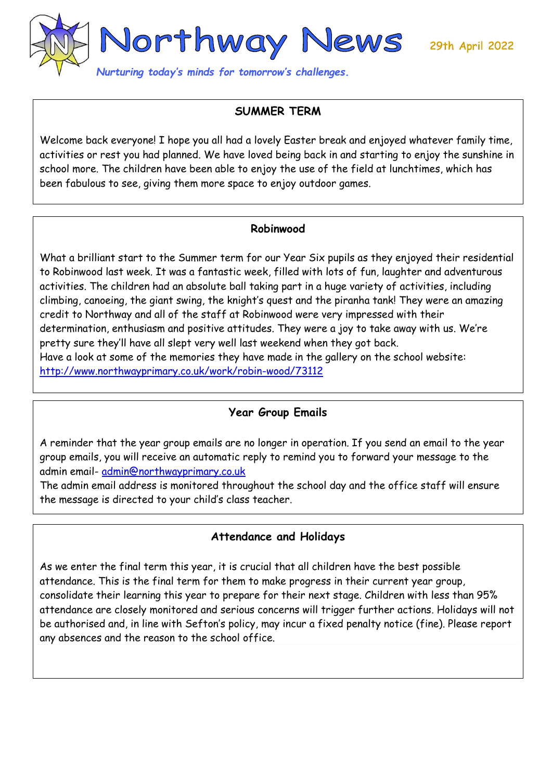29th April 2022



## **SUMMER TERM**

Welcome back everyone! I hope you all had a lovely Easter break and enjoyed whatever family time, activities or rest you had planned. We have loved being back in and starting to enjoy the sunshine in school more. The children have been able to enjoy the use of the field at lunchtimes, which has been fabulous to see, giving them more space to enjoy outdoor games.

#### **Robinwood**

What a brilliant start to the Summer term for our Year Six pupils as they enjoyed their residential to Robinwood last week. It was a fantastic week, filled with lots of fun, laughter and adventurous activities. The children had an absolute ball taking part in a huge variety of activities, including climbing, canoeing, the giant swing, the knight's quest and the piranha tank! They were an amazing credit to Northway and all of the staff at Robinwood were very impressed with their determination, enthusiasm and positive attitudes. They were a joy to take away with us. We're pretty sure they'll have all slept very well last weekend when they got back. Have a look at some of the memories they have made in the gallery on the school website: <http://www.northwayprimary.co.uk/work/robin-wood/73112>

## **Year Group Emails**

A reminder that the year group emails are no longer in operation. If you send an email to the year group emails, you will receive an automatic reply to remind you to forward your message to the admin email- [admin@northwayprimary.co.uk](mailto:admin@northwayprimary.co.uk)

The admin email address is monitored throughout the school day and the office staff will ensure the message is directed to your child's class teacher.

### **Attendance and Holidays**

As we enter the final term this year, it is crucial that all children have the best possible attendance. This is the final term for them to make progress in their current year group, consolidate their learning this year to prepare for their next stage. Children with less than 95% attendance are closely monitored and serious concerns will trigger further actions. Holidays will not be authorised and, in line with Sefton's policy, may incur a fixed penalty notice (fine). Please report any absences and the reason to the school office.